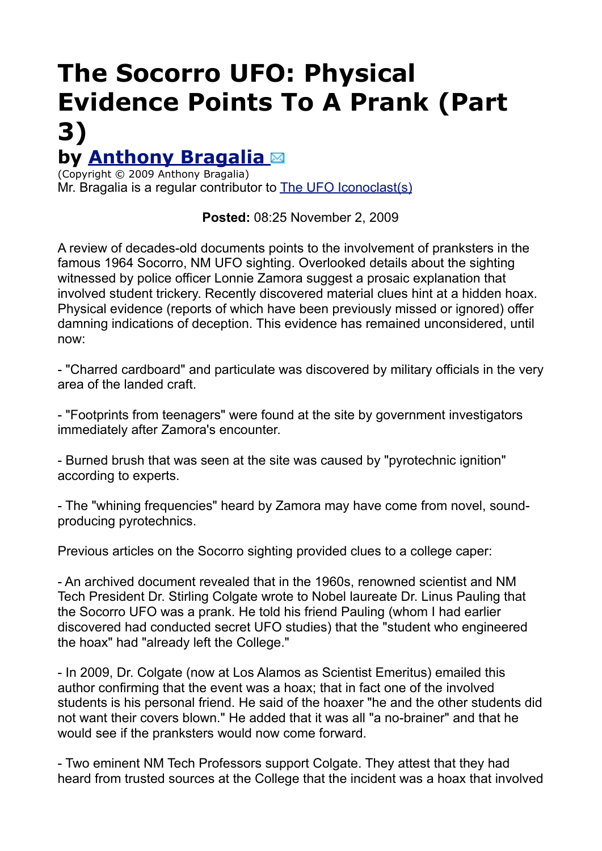# **The Socorro UFO: Physical Evidence Points To A Prank (Part 3) by [Anthony Bragalia](mailto:envcol@mindspring.com)**

(Copyright © 2009 Anthony Bragalia) Mr. Bragalia is a regular contributor to [The UFO Iconoclast\(s\)](http://ufocon.blogspot.com/)

**Posted:** 08:25 November 2, 2009

A review of decades-old documents points to the involvement of pranksters in the famous 1964 Socorro, NM UFO sighting. Overlooked details about the sighting witnessed by police officer Lonnie Zamora suggest a prosaic explanation that involved student trickery. Recently discovered material clues hint at a hidden hoax. Physical evidence (reports of which have been previously missed or ignored) offer damning indications of deception. This evidence has remained unconsidered, until now:

- "Charred cardboard" and particulate was discovered by military officials in the very area of the landed craft.

- "Footprints from teenagers" were found at the site by government investigators immediately after Zamora's encounter.

- Burned brush that was seen at the site was caused by "pyrotechnic ignition" according to experts.

- The "whining frequencies" heard by Zamora may have come from novel, soundproducing pyrotechnics.

Previous articles on the Socorro sighting provided clues to a college caper:

- An archived document revealed that in the 1960s, renowned scientist and NM Tech President Dr. Stirling Colgate wrote to Nobel laureate Dr. Linus Pauling that the Socorro UFO was a prank. He told his friend Pauling (whom I had earlier discovered had conducted secret UFO studies) that the "student who engineered the hoax" had "already left the College."

- In 2009, Dr. Colgate (now at Los Alamos as Scientist Emeritus) emailed this author confirming that the event was a hoax; that in fact one of the involved students is his personal friend. He said of the hoaxer "he and the other students did not want their covers blown." He added that it was all "a no-brainer" and that he would see if the pranksters would now come forward.

- Two eminent NM Tech Professors support Colgate. They attest that they had heard from trusted sources at the College that the incident was a hoax that involved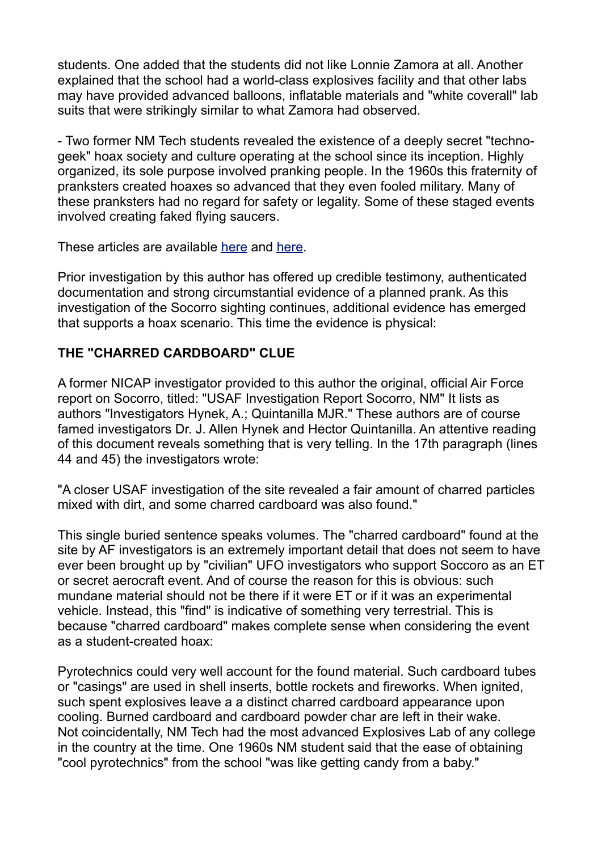students. One added that the students did not like Lonnie Zamora at all. Another explained that the school had a world-class explosives facility and that other labs may have provided advanced balloons, inflatable materials and "white coverall" lab suits that were strikingly similar to what Zamora had observed.

- Two former NM Tech students revealed the existence of a deeply secret "technogeek" hoax society and culture operating at the school since its inception. Highly organized, its sole purpose involved pranking people. In the 1960s this fraternity of pranksters created hoaxes so advanced that they even fooled military. Many of these pranksters had no regard for safety or legality. Some of these staged events involved creating faked flying saucers.

These articles are available [here](http://ufocon.blogspot.com/2009/09/socorro-hoax-exposed-famous-1964.html) and [here.](http://ufocon.blogspot.com/2009/10/socorro-ufo-hoax-part-2-getting-closer.html)

Prior investigation by this author has offered up credible testimony, authenticated documentation and strong circumstantial evidence of a planned prank. As this investigation of the Socorro sighting continues, additional evidence has emerged that supports a hoax scenario. This time the evidence is physical:

### **THE "CHARRED CARDBOARD" CLUE**

A former NICAP investigator provided to this author the original, official Air Force report on Socorro, titled: "USAF Investigation Report Socorro, NM" It lists as authors "Investigators Hynek, A.; Quintanilla MJR." These authors are of course famed investigators Dr. J. Allen Hynek and Hector Quintanilla. An attentive reading of this document reveals something that is very telling. In the 17th paragraph (lines 44 and 45) the investigators wrote:

"A closer USAF investigation of the site revealed a fair amount of charred particles mixed with dirt, and some charred cardboard was also found."

This single buried sentence speaks volumes. The "charred cardboard" found at the site by AF investigators is an extremely important detail that does not seem to have ever been brought up by "civilian" UFO investigators who support Soccoro as an ET or secret aerocraft event. And of course the reason for this is obvious: such mundane material should not be there if it were ET or if it was an experimental vehicle. Instead, this "find" is indicative of something very terrestrial. This is because "charred cardboard" makes complete sense when considering the event as a student-created hoax:

Pyrotechnics could very well account for the found material. Such cardboard tubes or "casings" are used in shell inserts, bottle rockets and fireworks. When ignited, such spent explosives leave a a distinct charred cardboard appearance upon cooling. Burned cardboard and cardboard powder char are left in their wake. Not coincidentally, NM Tech had the most advanced Explosives Lab of any college in the country at the time. One 1960s NM student said that the ease of obtaining "cool pyrotechnics" from the school "was like getting candy from a baby."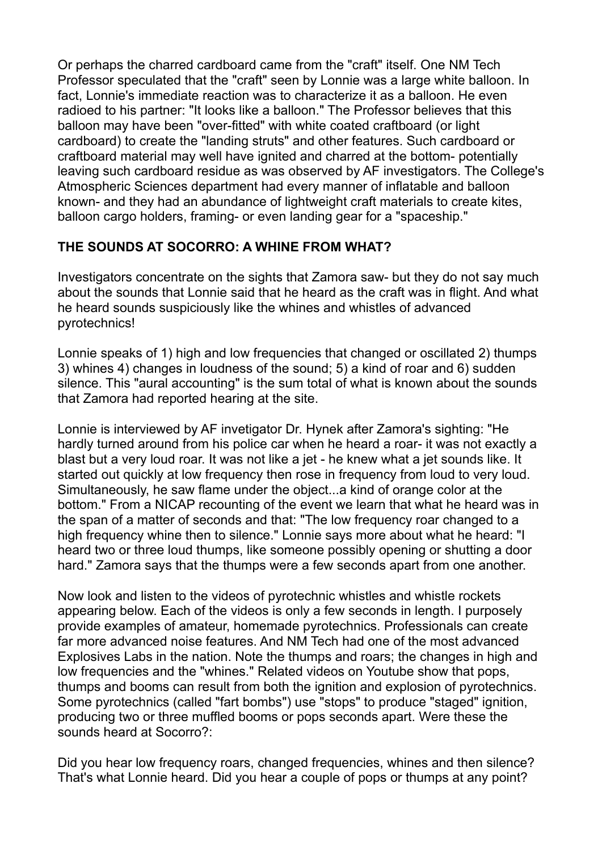Or perhaps the charred cardboard came from the "craft" itself. One NM Tech Professor speculated that the "craft" seen by Lonnie was a large white balloon. In fact, Lonnie's immediate reaction was to characterize it as a balloon. He even radioed to his partner: "It looks like a balloon." The Professor believes that this balloon may have been "over-fitted" with white coated craftboard (or light cardboard) to create the "landing struts" and other features. Such cardboard or craftboard material may well have ignited and charred at the bottom- potentially leaving such cardboard residue as was observed by AF investigators. The College's Atmospheric Sciences department had every manner of inflatable and balloon known- and they had an abundance of lightweight craft materials to create kites, balloon cargo holders, framing- or even landing gear for a "spaceship."

# **THE SOUNDS AT SOCORRO: A WHINE FROM WHAT?**

Investigators concentrate on the sights that Zamora saw- but they do not say much about the sounds that Lonnie said that he heard as the craft was in flight. And what he heard sounds suspiciously like the whines and whistles of advanced pyrotechnics!

Lonnie speaks of 1) high and low frequencies that changed or oscillated 2) thumps 3) whines 4) changes in loudness of the sound; 5) a kind of roar and 6) sudden silence. This "aural accounting" is the sum total of what is known about the sounds that Zamora had reported hearing at the site.

Lonnie is interviewed by AF invetigator Dr. Hynek after Zamora's sighting: "He hardly turned around from his police car when he heard a roar- it was not exactly a blast but a very loud roar. It was not like a jet - he knew what a jet sounds like. It started out quickly at low frequency then rose in frequency from loud to very loud. Simultaneously, he saw flame under the object...a kind of orange color at the bottom." From a NICAP recounting of the event we learn that what he heard was in the span of a matter of seconds and that: "The low frequency roar changed to a high frequency whine then to silence." Lonnie says more about what he heard: "I heard two or three loud thumps, like someone possibly opening or shutting a door hard." Zamora says that the thumps were a few seconds apart from one another.

Now look and listen to the videos of pyrotechnic whistles and whistle rockets appearing below. Each of the videos is only a few seconds in length. I purposely provide examples of amateur, homemade pyrotechnics. Professionals can create far more advanced noise features. And NM Tech had one of the most advanced Explosives Labs in the nation. Note the thumps and roars; the changes in high and low frequencies and the "whines." Related videos on Youtube show that pops, thumps and booms can result from both the ignition and explosion of pyrotechnics. Some pyrotechnics (called "fart bombs") use "stops" to produce "staged" ignition, producing two or three muffled booms or pops seconds apart. Were these the sounds heard at Socorro?:

Did you hear low frequency roars, changed frequencies, whines and then silence? That's what Lonnie heard. Did you hear a couple of pops or thumps at any point?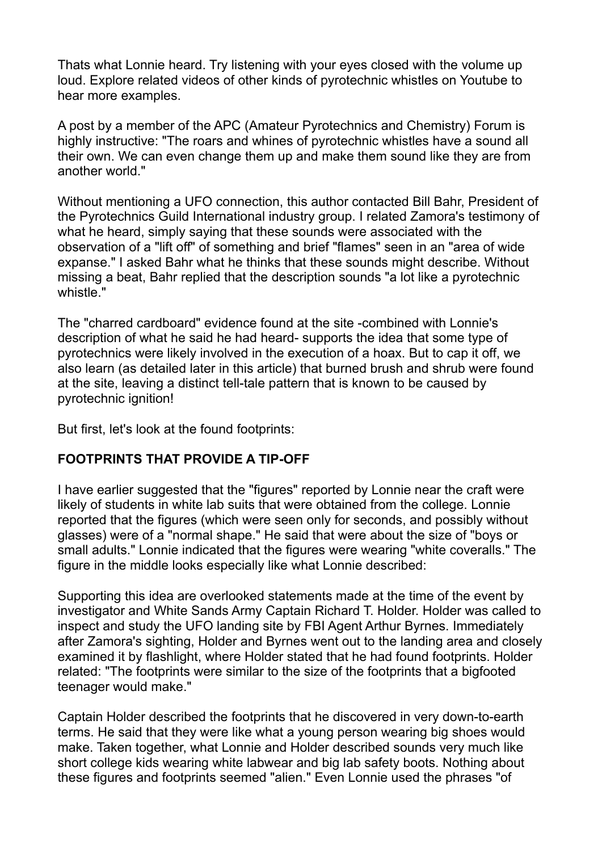Thats what Lonnie heard. Try listening with your eyes closed with the volume up loud. Explore related videos of other kinds of pyrotechnic whistles on Youtube to hear more examples.

A post by a member of the APC (Amateur Pyrotechnics and Chemistry) Forum is highly instructive: "The roars and whines of pyrotechnic whistles have a sound all their own. We can even change them up and make them sound like they are from another world."

Without mentioning a UFO connection, this author contacted Bill Bahr, President of the Pyrotechnics Guild International industry group. I related Zamora's testimony of what he heard, simply saying that these sounds were associated with the observation of a "lift off" of something and brief "flames" seen in an "area of wide expanse." I asked Bahr what he thinks that these sounds might describe. Without missing a beat, Bahr replied that the description sounds "a lot like a pyrotechnic whistle."

The "charred cardboard" evidence found at the site -combined with Lonnie's description of what he said he had heard- supports the idea that some type of pyrotechnics were likely involved in the execution of a hoax. But to cap it off, we also learn (as detailed later in this article) that burned brush and shrub were found at the site, leaving a distinct tell-tale pattern that is known to be caused by pyrotechnic ignition!

But first, let's look at the found footprints:

### **FOOTPRINTS THAT PROVIDE A TIP-OFF**

I have earlier suggested that the "figures" reported by Lonnie near the craft were likely of students in white lab suits that were obtained from the college. Lonnie reported that the figures (which were seen only for seconds, and possibly without glasses) were of a "normal shape." He said that were about the size of "boys or small adults." Lonnie indicated that the figures were wearing "white coveralls." The figure in the middle looks especially like what Lonnie described:

Supporting this idea are overlooked statements made at the time of the event by investigator and White Sands Army Captain Richard T. Holder. Holder was called to inspect and study the UFO landing site by FBI Agent Arthur Byrnes. Immediately after Zamora's sighting, Holder and Byrnes went out to the landing area and closely examined it by flashlight, where Holder stated that he had found footprints. Holder related: "The footprints were similar to the size of the footprints that a bigfooted teenager would make."

Captain Holder described the footprints that he discovered in very down-to-earth terms. He said that they were like what a young person wearing big shoes would make. Taken together, what Lonnie and Holder described sounds very much like short college kids wearing white labwear and big lab safety boots. Nothing about these figures and footprints seemed "alien." Even Lonnie used the phrases "of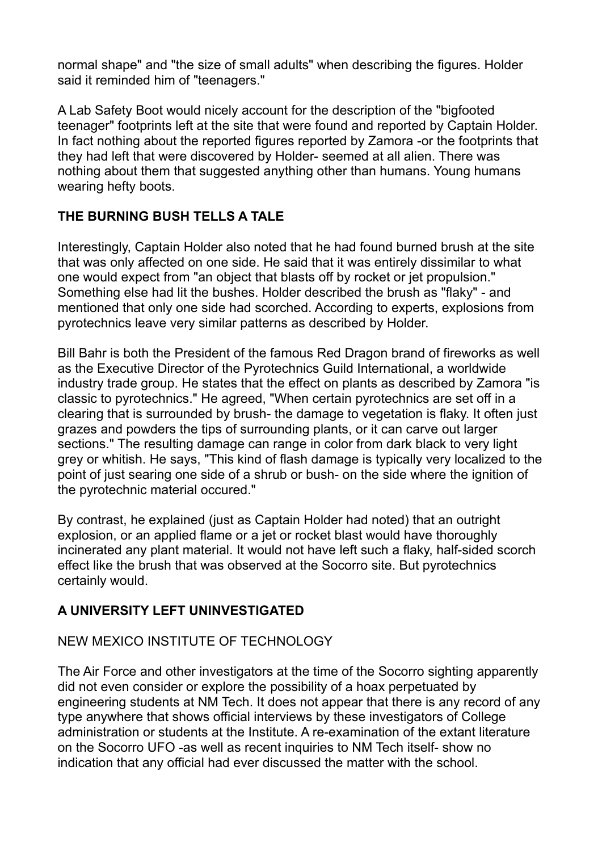normal shape" and "the size of small adults" when describing the figures. Holder said it reminded him of "teenagers."

A Lab Safety Boot would nicely account for the description of the "bigfooted teenager" footprints left at the site that were found and reported by Captain Holder. In fact nothing about the reported figures reported by Zamora -or the footprints that they had left that were discovered by Holder- seemed at all alien. There was nothing about them that suggested anything other than humans. Young humans wearing hefty boots.

# **THE BURNING BUSH TELLS A TALE**

Interestingly, Captain Holder also noted that he had found burned brush at the site that was only affected on one side. He said that it was entirely dissimilar to what one would expect from "an object that blasts off by rocket or jet propulsion." Something else had lit the bushes. Holder described the brush as "flaky" - and mentioned that only one side had scorched. According to experts, explosions from pyrotechnics leave very similar patterns as described by Holder.

Bill Bahr is both the President of the famous Red Dragon brand of fireworks as well as the Executive Director of the Pyrotechnics Guild International, a worldwide industry trade group. He states that the effect on plants as described by Zamora "is classic to pyrotechnics." He agreed, "When certain pyrotechnics are set off in a clearing that is surrounded by brush- the damage to vegetation is flaky. It often just grazes and powders the tips of surrounding plants, or it can carve out larger sections." The resulting damage can range in color from dark black to very light grey or whitish. He says, "This kind of flash damage is typically very localized to the point of just searing one side of a shrub or bush- on the side where the ignition of the pyrotechnic material occured."

By contrast, he explained (just as Captain Holder had noted) that an outright explosion, or an applied flame or a jet or rocket blast would have thoroughly incinerated any plant material. It would not have left such a flaky, half-sided scorch effect like the brush that was observed at the Socorro site. But pyrotechnics certainly would.

### **A UNIVERSITY LEFT UNINVESTIGATED**

#### NEW MEXICO INSTITUTE OF TECHNOLOGY

The Air Force and other investigators at the time of the Socorro sighting apparently did not even consider or explore the possibility of a hoax perpetuated by engineering students at NM Tech. It does not appear that there is any record of any type anywhere that shows official interviews by these investigators of College administration or students at the Institute. A re-examination of the extant literature on the Socorro UFO -as well as recent inquiries to NM Tech itself- show no indication that any official had ever discussed the matter with the school.